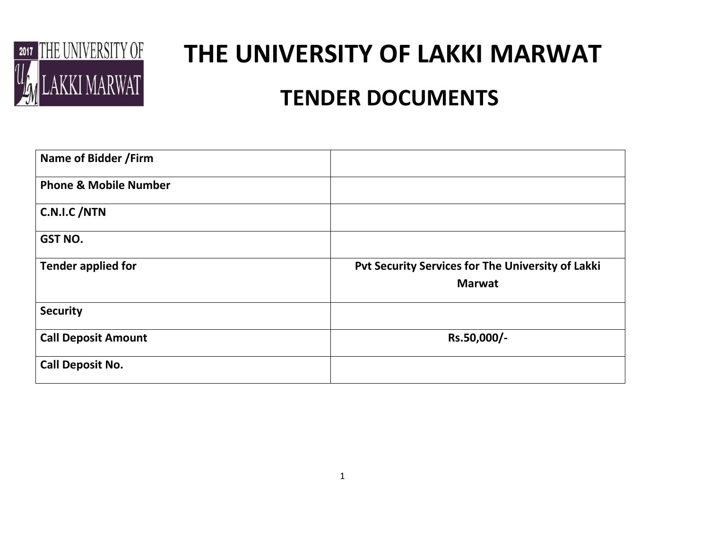

# **THE UNIVERSITY OF LAKKI MARWAT**

# **TENDER DOCUMENTS**

| Name of Bidder / Firm            |                                                   |
|----------------------------------|---------------------------------------------------|
| <b>Phone &amp; Mobile Number</b> |                                                   |
| C.N.I.C/NTN                      |                                                   |
| <b>GST NO.</b>                   |                                                   |
| <b>Tender applied for</b>        | Pvt Security Services for The University of Lakki |
|                                  | <b>Marwat</b>                                     |
| <b>Security</b>                  |                                                   |
| <b>Call Deposit Amount</b>       | Rs.50,000/-                                       |
| <b>Call Deposit No.</b>          |                                                   |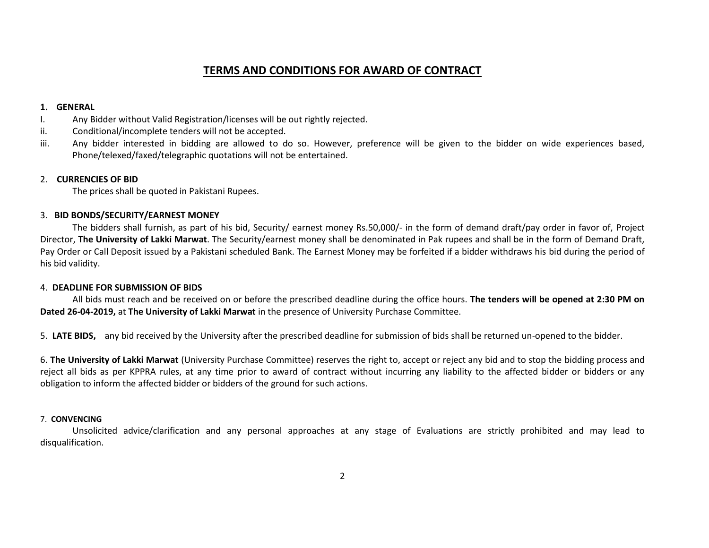### **TERMS AND CONDITIONS FOR AWARD OF CONTRACT**

#### **1. GENERAL**

- I. Any Bidder without Valid Registration/licenses will be out rightly rejected.
- ii. Conditional/incomplete tenders will not be accepted.
- iii. Any bidder interested in bidding are allowed to do so. However, preference will be given to the bidder on wide experiences based, Phone/telexed/faxed/telegraphic quotations will not be entertained.

#### 2. **CURRENCIES OF BID**

The prices shall be quoted in Pakistani Rupees.

#### 3. **BID BONDS/SECURITY/EARNEST MONEY**

The bidders shall furnish, as part of his bid, Security/ earnest money Rs.50,000/- in the form of demand draft/pay order in favor of, Project Director, **The University of Lakki Marwat**. The Security/earnest money shall be denominated in Pak rupees and shall be in the form of Demand Draft, Pay Order or Call Deposit issued by a Pakistani scheduled Bank. The Earnest Money may be forfeited if a bidder withdraws his bid during the period of his bid validity.

#### 4. **DEADLINE FOR SUBMISSION OF BIDS**

All bids must reach and be received on or before the prescribed deadline during the office hours. **The tenders will be opened at 2:30 PM on Dated 26-04-2019,** at **The University of Lakki Marwat** in the presence of University Purchase Committee.

5. **LATE BIDS,** any bid received by the University after the prescribed deadline for submission of bids shall be returned un-opened to the bidder.

6. **The University of Lakki Marwat** (University Purchase Committee) reserves the right to, accept or reject any bid and to stop the bidding process and reject all bids as per KPPRA rules, at any time prior to award of contract without incurring any liability to the affected bidder or bidders or any obligation to inform the affected bidder or bidders of the ground for such actions.

#### 7. **CONVENCING**

Unsolicited advice/clarification and any personal approaches at any stage of Evaluations are strictly prohibited and may lead to disqualification.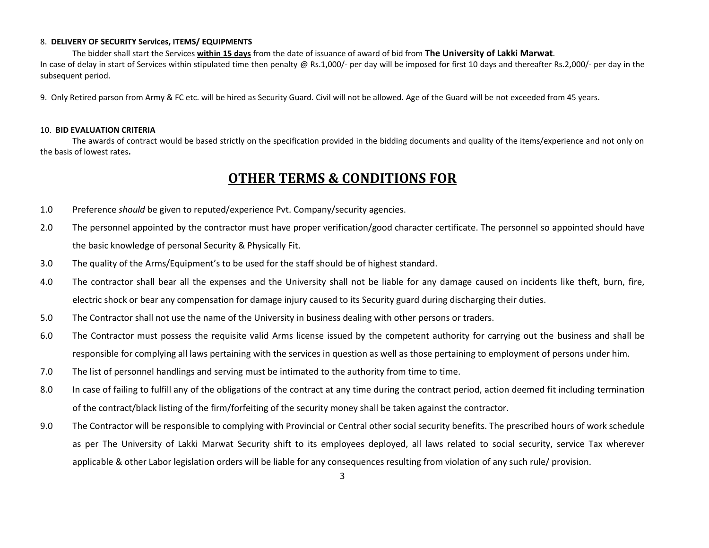#### 8. **DELIVERY OF SECURITY Services, ITEMS/ EQUIPMENTS**

The bidder shall start the Services **within 15 days** from the date of issuance of award of bid from **The University of Lakki Marwat**. In case of delay in start of Services within stipulated time then penalty @ Rs.1,000/- per day will be imposed for first 10 days and thereafter Rs.2,000/- per day in the subsequent period.

9. Only Retired parson from Army & FC etc. will be hired as Security Guard. Civil will not be allowed. Age of the Guard will be not exceeded from 45 years.

#### 10. **BID EVALUATION CRITERIA**

The awards of contract would be based strictly on the specification provided in the bidding documents and quality of the items/experience and not only on the basis of lowest rates**.**

## **OTHER TERMS & CONDITIONS FOR**

- 1.0 Preference *should* be given to reputed/experience Pvt. Company/security agencies.
- 2.0 The personnel appointed by the contractor must have proper verification/good character certificate. The personnel so appointed should have the basic knowledge of personal Security & Physically Fit.
- 3.0 The quality of the Arms/Equipment's to be used for the staff should be of highest standard.
- 4.0 The contractor shall bear all the expenses and the University shall not be liable for any damage caused on incidents like theft, burn, fire, electric shock or bear any compensation for damage injury caused to its Security guard during discharging their duties.
- 5.0 The Contractor shall not use the name of the University in business dealing with other persons or traders.
- 6.0 The Contractor must possess the requisite valid Arms license issued by the competent authority for carrying out the business and shall be responsible for complying all laws pertaining with the services in question as well as those pertaining to employment of persons under him.
- 7.0 The list of personnel handlings and serving must be intimated to the authority from time to time.
- 8.0 In case of failing to fulfill any of the obligations of the contract at any time during the contract period, action deemed fit including termination of the contract/black listing of the firm/forfeiting of the security money shall be taken against the contractor.
- 9.0 The Contractor will be responsible to complying with Provincial or Central other social security benefits. The prescribed hours of work schedule as per The University of Lakki Marwat Security shift to its employees deployed, all laws related to social security, service Tax wherever applicable & other Labor legislation orders will be liable for any consequences resulting from violation of any such rule/ provision.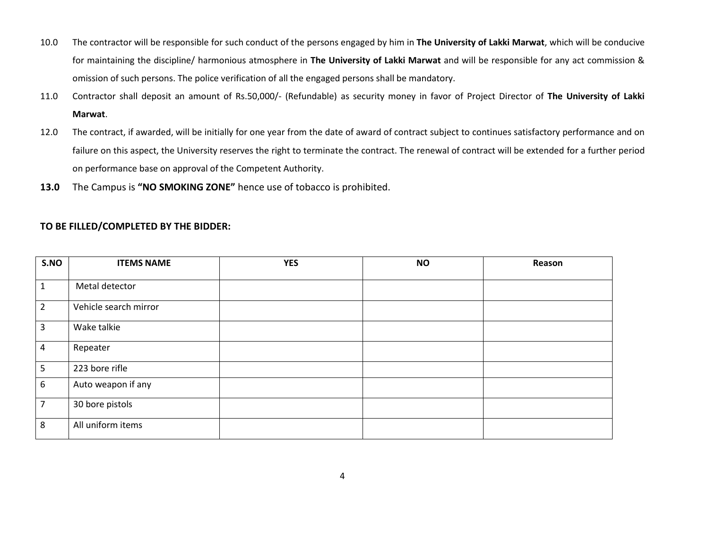- 10.0 The contractor will be responsible for such conduct of the persons engaged by him in **The University of Lakki Marwat**, which will be conducive for maintaining the discipline/ harmonious atmosphere in **The University of Lakki Marwat** and will be responsible for any act commission & omission of such persons. The police verification of all the engaged persons shall be mandatory.
- 11.0 Contractor shall deposit an amount of Rs.50,000/- (Refundable) as security money in favor of Project Director of **The University of Lakki Marwat**.
- 12.0 The contract, if awarded, will be initially for one year from the date of award of contract subject to continues satisfactory performance and on failure on this aspect, the University reserves the right to terminate the contract. The renewal of contract will be extended for a further period on performance base on approval of the Competent Authority.
- **13.0** The Campus is **"NO SMOKING ZONE"** hence use of tobacco is prohibited.

#### **TO BE FILLED/COMPLETED BY THE BIDDER:**

| S.NO           | <b>ITEMS NAME</b>     | <b>YES</b> | <b>NO</b> | Reason |
|----------------|-----------------------|------------|-----------|--------|
| $\mathbf{1}$   | Metal detector        |            |           |        |
| $\overline{2}$ | Vehicle search mirror |            |           |        |
| $\overline{3}$ | Wake talkie           |            |           |        |
| $\overline{4}$ | Repeater              |            |           |        |
| 5 <sub>1</sub> | 223 bore rifle        |            |           |        |
| 6              | Auto weapon if any    |            |           |        |
| $\overline{7}$ | 30 bore pistols       |            |           |        |
| $\,8\,$        | All uniform items     |            |           |        |